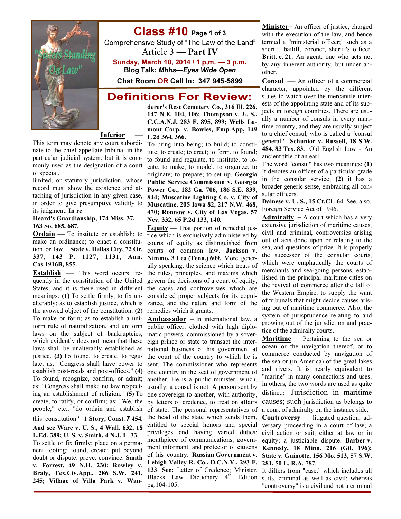

## Class #10 Page 1 of 3

Comprehensive Study of "The Law of the Land" Article  $3$  — **Part IV** 

Sunday, March 10, 2014 / 1 p,m. — 3 p.m. Blog Talk: Mhhs—Eyes Wide Open

# Chat Room OR Call In: 347 945-5899

## **Definitions For Review:**

derer's Rest Cemetery Co., 316 Ill. 226, 147 N.E. 104, 106; Thompson v. U. S., C.C.A.N.J, 283 F. 895, 899; Wells Lamont Corp. v. Bowles, Emp.App, 149 F.2d 364, 366.

**Inferior** 

This term may denote any court subordinate to the chief appellate tribunal in the particular judicial system; but it is commonly used as the designation of a court of special,

limited, or statutory jurisdiction, whose record must show the existence and attaching of jurisdiction in any given case, in order to give presumptive validity to its judgment. In re

#### Heard's Guardianship, 174 Miss. 37, 163 So. 685, 687.

Ordain — To institute or establish; to make an ordinance; to enact a constitution or law. State v. Dallas City, 72 Or. 337, 143 P. 1127, 1131, Ann. Cas.1916B, 855.

**Establish** — This word occurs fre- the rules, principles, and maxims which quently in the constitution of the United govern the decisions of a court of equity, States, and it is there used in different the cases and controversies which are meanings: (1) To settle firmly, to fix un-considered proper subjects for its cognialterably; as to establish justice, which is zance, and the nature and form of the the avowed object of the constitution. (2) remedies which it grants. To make or form; as to establish a uni- **Ambassador** – In international law, a form rule of naturalization, and uniform public officer, clothed with high diplolaws on the subject of bankruptcies, matic powers, commissioned by a soverwhich evidently does not mean that these eign prince or state to transact the interlaws shall be unalterably established as justice. (3) To found, to create, to regu- the court of the country to which he is late; as: "Congress shall have power to establish post-roads and post-offices." (4) To found, recognize, confirm, or admit; as: "Congress shall make no law respecting an establishment of religion." (5) To create, to ratify, or confirm; as: "We, the people," etc., "do ordain and establish this constitution." 1 Story, Const. 7 454. And see Ware v. U. S., 4 Wall. 632, 18 L.Ed. 389; U. S. v. Smith, 4 N.J. L. 33. To settle or fix firmly; place on a permanent footing; found; create; put beyond doubt or dispute; prove; convince. Smith v. Forrest, 49 N.H. 230; Rowley v. Braly, Tex.Civ.App., 286 S.W. 241,

245; Village of Villa Park v. Wan-

To bring into being; to build; to constitute; to create; to erect; to form, to found; to found and regulate, to institute, to locate; to make; to model; to organize; to originate; to prepare; to set up. Georgia Public Service Commission v. Georgia Power Co., 182 Ga. 706, 186 S.E. 839, 844; Muscatine Lighting Co. v. City of Muscatine, 205 Iowa 82, 217 N.W. 468, 470; Ronnow v. City of Las Vegas, 57 Nev. 332, 65 P.2d 133, 140.

Equity — That portion of remedial justice which is exclusively administered by courts of equity as distinguished from courts of common law. Jackson v. Nimmo, 3 Lea (Tenn.) 609. More generally speaking, the science which treats of

national business of his government at sent. The commissioner who represents one country in the seat of government of another. He is a public minister, which, usually, a consul is not. A person sent by one sovereign to another, with authority, by letters of credence, to treat on affairs of state. The personal representatives of the head of the state which sends them, entitled to special honors and special privileges and having varied duties; mouthpiece of communications, government informant, and protector of citizens of his country. Russian Government v. Lehigh Valley R. Co., D.C.N.Y., 293 F. 133. See: Letter of Credence; Minister. Blacks Law Dictionary  $4<sup>th</sup>$  Edition pg.104-105.

Minister– An officer of justice, charged with the execution of the law, and hence termed a "ministerial officer;" such as a sheriff, bailiff, coroner, sheriff's officer. Britt. c. 21. An agent; one who acts not by any inherent authority, but under another.

Consul — An officer of a commercial character, appointed by the different states to watch over the mercantile interests of the appointing state and of its subjects in foreign countries. There are usually a number of consuls in every maritime country, and they are usually subject to a chief consul, who is called a "consul general." Schunior v. Russell, 18 S.W. 484, 83 Tex. 83. Old English Law - An ancient title of an earl.

The word "consul" has two meanings: (1) It denotes an officer of a particular grade in the consular service; (2) it has a broader generic sense, embracing all consular officers.

Dainese v. U. S., 15 Ct.C1. 64. See, also, Foreign Service Act of 1946.

Admiralty  $-A$  court which has a very extensive jurisdiction of maritime causes, civil and criminal, controversies arising out of acts done upon or relating to the sea, and questions of prize. It is properly the successor of the consular courts, which were emphatically the courts of merchants and sea-going persons, established in the principal maritime cities on the revival of commerce after the fall of the Western Empire, to supply the want of tribunals that might decide causes arising out of maritime commerce. Also, the system of jurisprudence relating to and growing out of the jurisdiction and practice of the admiralty courts.

**Maritime** – Pertaining to the sea or ocean or the navigation thereof; or to commerce conducted by navigation of the sea or (in America) of the great lakes and rivers. It is nearly equivalent to "marine" in many connections and uses; in others, the two words are used as quite distinct.; Jurisdiction in maritime causes; such jurisdiction as belongs to a court of admiralty on the instance side.

Controversy — litigated question; adversary proceeding in a court of law; a civil action or suit, either at law or in equity; a justiciable dispute. Barber v. Kennedy, 18 Minn. 216 (Gil. 196); State v. Guinotte, 156 Mo. 513, 57 S.W. 281, 50 L. R.A. 787.

It differs from "case," which includes all suits, criminal as well as civil; whereas "controversy" is a civil and not a criminal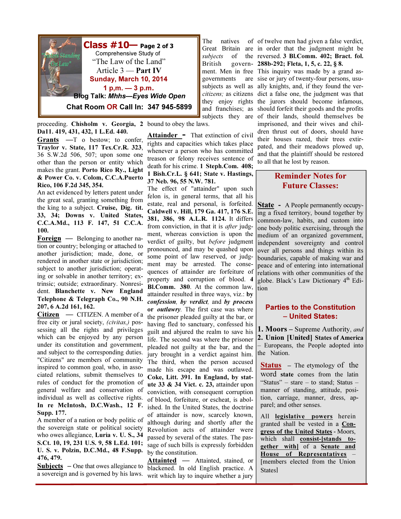

**Class**  $\#10$  Page 2 of 3 Comprehensive Study of "The Law of the Land" Article 3 — Part IV Sunday, March 10, 2014  $1 p.m. - 3 p.m.$ Blog Talk: Mhhs—Eyes Wide Open

Chat Room OR Call In: 347 945-5899

proceeding. Chisholm v. Georgia, 2 bound to obey the laws. Da11. 419, 431, 432, 1 L.Ed. 440.

Grants —T o bestow; to confer, Traylor v. State, 117 Tex.Cr.R. 323, 36 S.W.2d 506, 507; upon some one other than the person or entity which makes the grant. Porto Rico Ry., Light & Power Co. v. Colom, C.C.A.Puerto Rico, 106 F.2d 345, 354.

An act evidenced by letters patent under the great seal, granting something from the king to a subject. Cruise, Dig. tit. 33, 34; Downs v. United States, C.C.A.Md., 113 F. 147, 51 C.C.A. 100.

Foreign — Belonging to another nation or country; belonging or attached to another jurisdiction; made, done, or rendered in another state or jurisdiction; subject to another jurisdiction; operating or solvable in another territory; extrinsic; outside; extraordinary. Nonresident. Blanchette v. New England Telephone & Telegraph Co., 90 N.H. 207, 6 A.2d 161, 162.

Citizen — CITIZEN. A member of a free city or jural society, (civitas,) possessing all the rights and privileges which can be enjoyed by any person under its constitution and government, and subject to the corresponding duties. "Citizens" are members of community inspired to common goal, who, in associated relations, submit themselves to rules of conduct for the promotion of general welfare and conservation of individual as well as collective rights. In re McIntosh, D.C.Wash., 12 F.

Supp. 177. A member of a nation or body politic of the sovereign state or political society who owes allegiance, Luria v. U. S., 34 S.Ct. 10, 19, 231 U.S. 9, 58 L.Ed. 101; U. S. v. Polzin, D.C.Md., 48 F.Supp. 476, 479.

**Subjects**  $\sim$  One that owes allegiance to a sovereign and is governed by his laws.

Attainder - That extinction of civil rights and capacities which takes place whenever a person who has committed treason or felony receives sentence of death for his crime. 1 Steph.Com. 408; 1 Bish.Cr.L. § 641; State v. Hastings, 37 Neb. 96, 55 N.W. 781.

The natives Great Britain subjects of

governments

The effect of "attainder" upon such felon is, in general terms, that all his estate, real and personal, is forfeited. Caldwell v. Hill, 179 Ga. 417, 176 S.E. 381, 386, 98 A.L.R. 1124. It differs from conviction, in that it is *after* judgment, whereas conviction is upon the verdict of guilty, but before judgment pronounced, and may be quashed upon some point of law reserved, or judgment may be arrested. The consequences of attainder are forfeiture of property and corruption of blood. 4 Bl.Comm. 380. At the common law, attainder resulted in three ways, viz.: by confession, by verdict, and by process or *outlawry*. The first case was where the prisoner pleaded guilty at the bar, or having fled to sanctuary, confessed his guilt and abjured the realm to save his life. The second was where the prisoner pleaded not guilty at the bar, and the jury brought in a verdict against him. The third, when the person accused made his escape and was outlawed. Coke, Litt. 391. In England, by statute 33 & 34 Vict. c. 23, attainder upon conviction, with consequent corruption of blood, forfeiture, or escheat, is abolished. In the United States, the doctrine of attainder is now, scarcely known, although during and shortly after the Revolution acts of attainder were passed by several of the states. The passage of such bills is expressly forbidden by the constitution.

Attainted — Attainted, stained, or blackened. In old English practice. A writ which lay to inquire whether a jury

British govern-288b-292; Fleta, 1, 5, c. 22, § 8. ment. Men in free This inquiry was made by a grand assubjects as well as ally knights, and, if they found the vercitizens; as citizens dict a false one, the judgment was that they enjoy rights the jurors should become infamous, and franchises; as should forfeit their goods and the profits subjects they are of their lands, should themselves be of twelve men had given a false verdict, are in order that the judgment might be the reversed. 3 Bl.Comm. 402; Bract. fol. are sise or jury of twenty-four persons, usuimprisoned, and their wives and children thrust out of doors, should have their houses razed, their trees extirpated, and their meadows plowed up, and that the plaintiff should be restored to all that he lost by reason.

## Reminder Notes for Future Classes:

**State** - A People permanently occupying a fixed territory, bound together by common-law, habits, and custom into one body politic exercising, through the medium of an organized government, independent sovereignty and control over all persons and things within its boundaries, capable of making war and peace and of entering into international relations with other communities of the globe. Black's Law Dictionary 4<sup>th</sup> Edition

## Parties to the Constitution – United States:

**1. Moors** – Supreme Authority, and 2. Union [United] States of America – Europeans, the People adopted into the Nation.

Status – The etymology of the word state comes from the latin "Status" – stare – to stand; Status – manner of standing, attitude, position, carriage, manner, dress, apparel; and other senses.

All legislative powers herein granted shall be vested in a Congress of the United States - Moors, which shall consist-[stands to**gether** with] of a **Senate** and House of Representatives – [members elected from the Union **States**